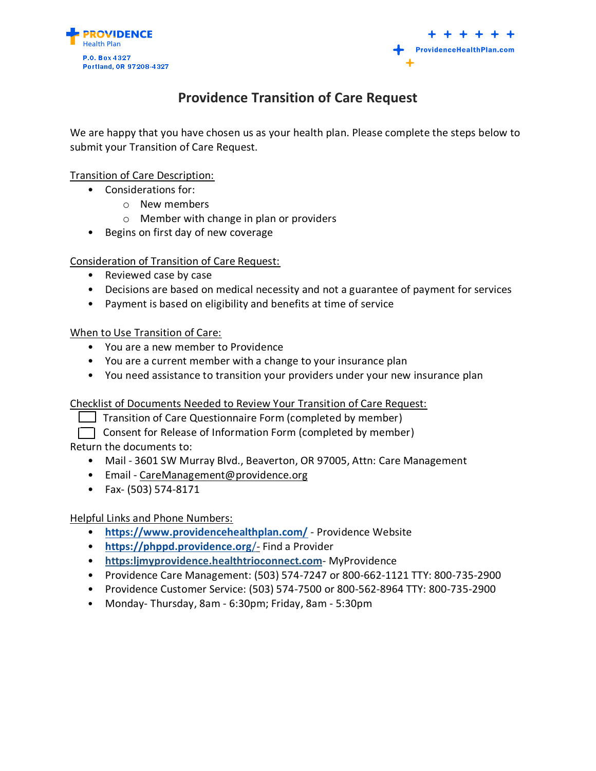



# **Providence Transition of Care Request**

We are happy that you have chosen us as your health plan. Please complete the steps below to submit your Transition of Care Request.

Transition of Care Description:

- Considerations for:
	- o New members
	- o Member with change in plan or providers
- Begins on first day of new coverage

Consideration of Transition of Care Request:

- Reviewed case by case
- Decisions are based on medical necessity and not a guarantee of payment for services
- Payment is based on eligibility and benefits at time of service

When to Use Transition of Care:

- You are a new member to Providence
- You are a current member with a change to your insurance plan
- You need assistance to transition your providers under your new insurance plan

Checklist of Documents Needed to Review Your Transition of Care Request:

- $\Box$  Transition of Care Questionnaire Form (completed by member)
- Consent for Release of Information Form (completed by member)

Return the documents to:

- Mail 3601 SW Murray Blvd., Beaverton, OR 97005, Attn: Care Management
- Email CareManagement@providence.org
- Fax- (503) 574-8171

Helpful Links and Phone Numbers:

- **https://www.providencehealthplan.com/** Providence Website
- **https://phppd.providence.org**/- Find a Provider
- **https:ljmyprovidence.healthtrioconnect.com** MyProvidence
- Providence Care Management: (503) 574-7247 or 800-662-1121 TTY: 800-735-2900
- Providence Customer Service: (503) 574-7500 or 800-562-8964 TTY: 800-735-2900
- Monday- Thursday, 8am 6:30pm; Friday, 8am 5:30pm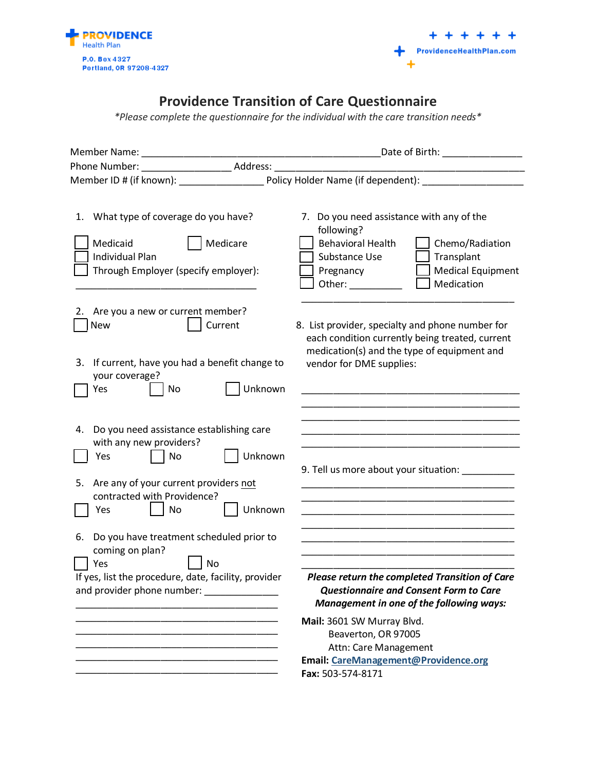



# **Providence Transition of Care Questionnaire**

*\*Please complete the questionnaire for the individual with the care transition needs\**

|                                                                                                                                                                                                      | Date of Birth: ________________                                                                                                                                                                                                                                                                   |  |
|------------------------------------------------------------------------------------------------------------------------------------------------------------------------------------------------------|---------------------------------------------------------------------------------------------------------------------------------------------------------------------------------------------------------------------------------------------------------------------------------------------------|--|
|                                                                                                                                                                                                      |                                                                                                                                                                                                                                                                                                   |  |
|                                                                                                                                                                                                      |                                                                                                                                                                                                                                                                                                   |  |
| 1. What type of coverage do you have?<br>Medicaid<br>Medicare<br><b>Individual Plan</b><br>Through Employer (specify employer):                                                                      | 7. Do you need assistance with any of the<br>following?<br><b>Behavioral Health</b><br>Chemo/Radiation<br>Substance Use<br>Transplant<br><b>Medical Equipment</b><br>Pregnancy<br>Medication<br>Other: 2000                                                                                       |  |
| Are you a new or current member?<br>2.<br><b>New</b><br>Current<br>3. If current, have you had a benefit change to<br>your coverage?<br>Unknown<br>No<br>Yes                                         | 8. List provider, specialty and phone number for<br>each condition currently being treated, current<br>medication(s) and the type of equipment and<br>vendor for DME supplies:<br><u> 1980 - Jan James James, politik eta politik eta politikaria (h. 1908).</u>                                  |  |
| Do you need assistance establishing care<br>4.<br>with any new providers?<br>Unknown<br>Yes<br>No<br>5. Are any of your current providers not<br>contracted with Providence?<br>Unknown<br>No<br>Yes | 9. Tell us more about your situation: __________<br><u> 1999 - Johann Stein, mars an deutscher Stein und der Stein und der Stein und der Stein und der Stein und der</u><br><u> 1989 - Jan James James, martin amerikan basar dan berasal dalam pengaran basar dalam pengaran basar dalam pen</u> |  |
| Do you have treatment scheduled prior to<br>6.<br>coming on plan?<br><b>No</b><br>Yes<br>If yes, list the procedure, date, facility, provider<br>and provider phone number:                          | Please return the completed Transition of Care<br><b>Questionnaire and Consent Form to Care</b><br>Management in one of the following ways:                                                                                                                                                       |  |
|                                                                                                                                                                                                      | Mail: 3601 SW Murray Blvd.<br>Beaverton, OR 97005<br>Attn: Care Management<br>Email: CareManagement@Providence.org<br>Fax: 503-574-8171                                                                                                                                                           |  |